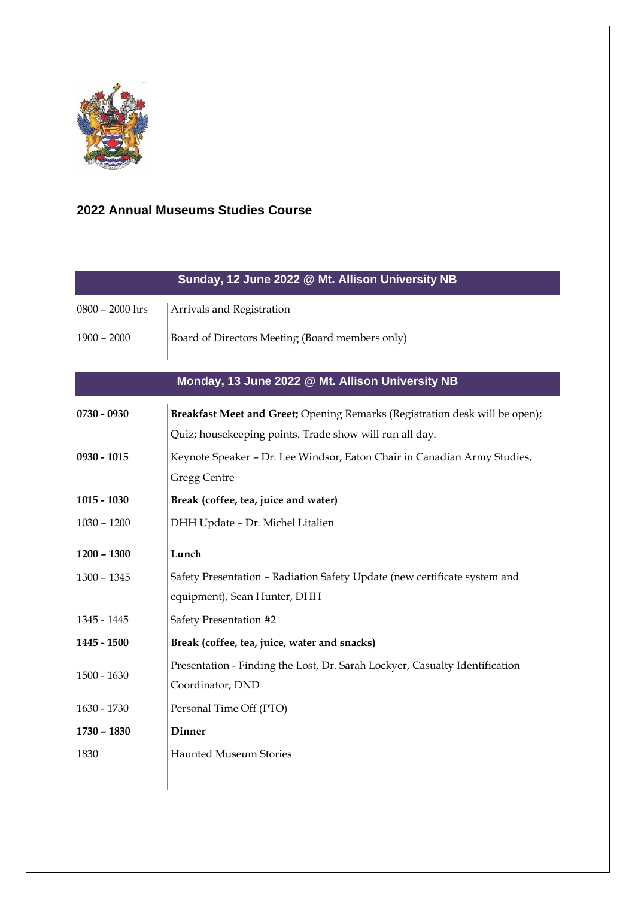

## **2022 Annual Museums Studies Course**

| Sunday, 12 June 2022 @ Mt. Allison University NB                            |  |  |  |  |
|-----------------------------------------------------------------------------|--|--|--|--|
| Arrivals and Registration                                                   |  |  |  |  |
| Board of Directors Meeting (Board members only)                             |  |  |  |  |
|                                                                             |  |  |  |  |
| Monday, 13 June 2022 @ Mt. Allison University NB                            |  |  |  |  |
| Breakfast Meet and Greet; Opening Remarks (Registration desk will be open); |  |  |  |  |
| Quiz; housekeeping points. Trade show will run all day.                     |  |  |  |  |
| Keynote Speaker - Dr. Lee Windsor, Eaton Chair in Canadian Army Studies,    |  |  |  |  |
| <b>Gregg Centre</b>                                                         |  |  |  |  |
| Break (coffee, tea, juice and water)                                        |  |  |  |  |
| DHH Update - Dr. Michel Litalien                                            |  |  |  |  |
| Lunch                                                                       |  |  |  |  |
| Safety Presentation - Radiation Safety Update (new certificate system and   |  |  |  |  |
| equipment), Sean Hunter, DHH                                                |  |  |  |  |
| Safety Presentation #2                                                      |  |  |  |  |
| Break (coffee, tea, juice, water and snacks)                                |  |  |  |  |
| Presentation - Finding the Lost, Dr. Sarah Lockyer, Casualty Identification |  |  |  |  |
| Coordinator, DND                                                            |  |  |  |  |
| Personal Time Off (PTO)                                                     |  |  |  |  |
| <b>Dinner</b>                                                               |  |  |  |  |
| <b>Haunted Museum Stories</b>                                               |  |  |  |  |
|                                                                             |  |  |  |  |
|                                                                             |  |  |  |  |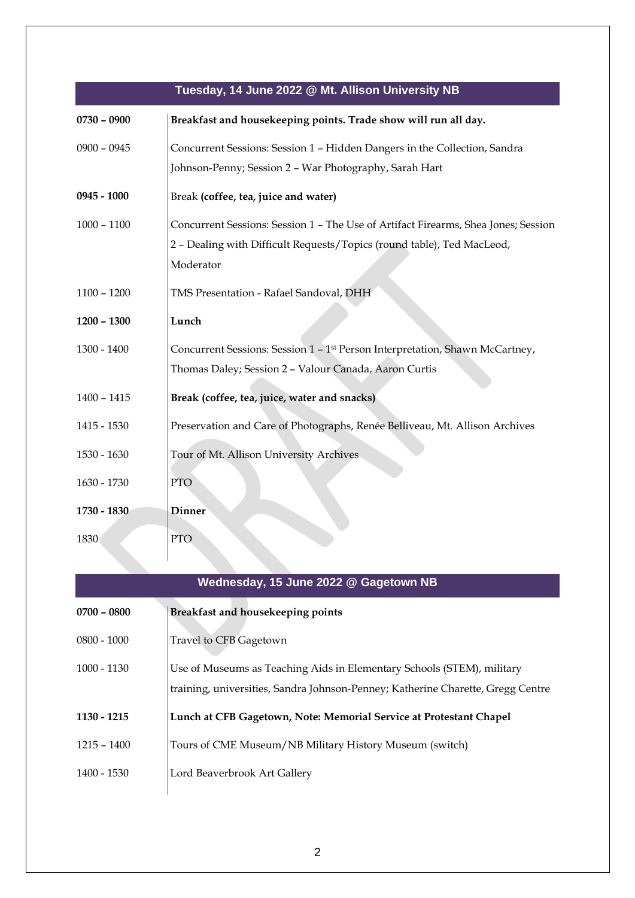## **Tuesday, 14 June 2022 @ Mt. Allison University NB**

| $0730 - 0900$ | Breakfast and housekeeping points. Trade show will run all day.                          |
|---------------|------------------------------------------------------------------------------------------|
| $0900 - 0945$ | Concurrent Sessions: Session 1 - Hidden Dangers in the Collection, Sandra                |
|               | Johnson-Penny; Session 2 - War Photography, Sarah Hart                                   |
| $0945 - 1000$ | Break (coffee, tea, juice and water)                                                     |
| $1000 - 1100$ | Concurrent Sessions: Session 1 - The Use of Artifact Firearms, Shea Jones; Session       |
|               | 2 - Dealing with Difficult Requests/Topics (round table), Ted MacLeod,                   |
|               | Moderator                                                                                |
| $1100 - 1200$ | TMS Presentation - Rafael Sandoval, DHH                                                  |
| $1200 - 1300$ | Lunch                                                                                    |
| $1300 - 1400$ | Concurrent Sessions: Session 1 - 1 <sup>st</sup> Person Interpretation, Shawn McCartney, |
|               | Thomas Daley; Session 2 - Valour Canada, Aaron Curtis                                    |
| $1400 - 1415$ | Break (coffee, tea, juice, water and snacks)                                             |
| 1415 - 1530   | Preservation and Care of Photographs, Renée Belliveau, Mt. Allison Archives              |
| 1530 - 1630   | Tour of Mt. Allison University Archives                                                  |
| 1630 - 1730   | <b>PTO</b>                                                                               |
| 1730 - 1830   | <b>Dinner</b>                                                                            |
| 1830          | <b>PTO</b>                                                                               |

| Wednesday, 15 June 2022 @ Gagetown NB |                                                                                                                                                           |  |
|---------------------------------------|-----------------------------------------------------------------------------------------------------------------------------------------------------------|--|
| $0700 - 0800$                         | Breakfast and housekeeping points                                                                                                                         |  |
| $0800 - 1000$                         | Travel to CFB Gagetown                                                                                                                                    |  |
| $1000 - 1130$                         | Use of Museums as Teaching Aids in Elementary Schools (STEM), military<br>training, universities, Sandra Johnson-Penney; Katherine Charette, Gregg Centre |  |
| 1130 - 1215                           | Lunch at CFB Gagetown, Note: Memorial Service at Protestant Chapel                                                                                        |  |
| $1215 - 1400$                         | Tours of CME Museum/NB Military History Museum (switch)                                                                                                   |  |
| 1400 - 1530                           | Lord Beaverbrook Art Gallery                                                                                                                              |  |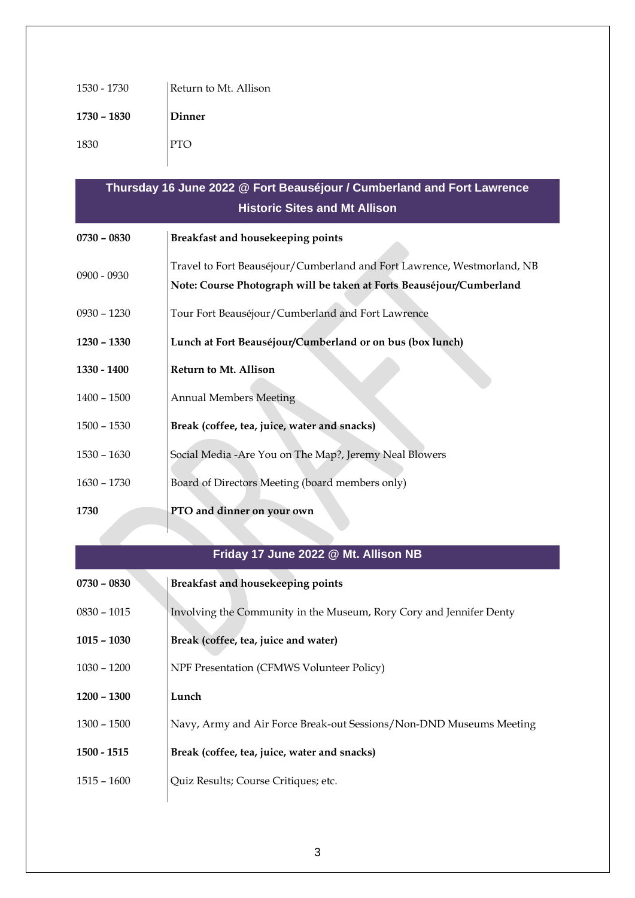| 1530 - 1730 | Return to Mt. Allison |
|-------------|-----------------------|
| 1730 - 1830 | Dinner                |
| 1830        | <b>PTO</b>            |

| Thursday 16 June 2022 @ Fort Beauséjour / Cumberland and Fort Lawrence |                                                                                                                                                 |  |  |  |
|------------------------------------------------------------------------|-------------------------------------------------------------------------------------------------------------------------------------------------|--|--|--|
| <b>Historic Sites and Mt Allison</b>                                   |                                                                                                                                                 |  |  |  |
| $0730 - 0830$                                                          | Breakfast and housekeeping points                                                                                                               |  |  |  |
| 0900 - 0930                                                            | Travel to Fort Beauséjour/Cumberland and Fort Lawrence, Westmorland, NB<br>Note: Course Photograph will be taken at Forts Beauséjour/Cumberland |  |  |  |
| 0930 - 1230                                                            | Tour Fort Beauséjour/Cumberland and Fort Lawrence                                                                                               |  |  |  |
| 1230 - 1330                                                            | Lunch at Fort Beauséjour/Cumberland or on bus (box lunch)                                                                                       |  |  |  |
| 1330 - 1400                                                            | <b>Return to Mt. Allison</b>                                                                                                                    |  |  |  |
| 1400 - 1500                                                            | <b>Annual Members Meeting</b>                                                                                                                   |  |  |  |
| 1500 - 1530                                                            | Break (coffee, tea, juice, water and snacks)                                                                                                    |  |  |  |
| 1530 - 1630                                                            | Social Media - Are You on The Map?, Jeremy Neal Blowers                                                                                         |  |  |  |
| $1630 - 1730$                                                          | Board of Directors Meeting (board members only)                                                                                                 |  |  |  |
| 1730                                                                   | PTO and dinner on your own                                                                                                                      |  |  |  |

## **Friday 17 June 2022 @ Mt. Allison NB**

| $0730 - 0830$ | Breakfast and housekeeping points                                   |
|---------------|---------------------------------------------------------------------|
| $0830 - 1015$ | Involving the Community in the Museum, Rory Cory and Jennifer Denty |
| $1015 - 1030$ | Break (coffee, tea, juice and water)                                |
| $1030 - 1200$ | NPF Presentation (CFMWS Volunteer Policy)                           |
| $1200 - 1300$ | Lunch                                                               |
| $1300 - 1500$ | Navy, Army and Air Force Break-out Sessions/Non-DND Museums Meeting |
| $1500 - 1515$ | Break (coffee, tea, juice, water and snacks)                        |
| 1515 – 1600   | Quiz Results; Course Critiques; etc.                                |
|               |                                                                     |